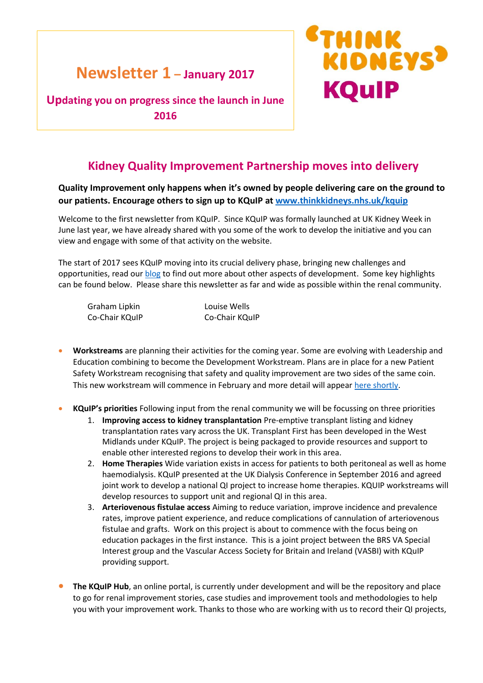## **Newsletter 1 – January 2017**

**Updating you on progress since the launch in June 2016**



## **Kidney Quality Improvement Partnership moves into delivery**

**Quality Improvement only happens when it's owned by people delivering care on the ground to our patients. Encourage others to sign up to KQuIP at [www.thinkkidneys.nhs.uk/kquip](http://www.thinkkidneys.nhs.uk/kquip)**

Welcome to the first newsletter from KQuIP. Since KQuIP was formally launched at UK Kidney Week in June last year, we have already shared with you some of the work to develop the initiative and you can view and engage with some of that activity on the website.

The start of 2017 sees KQuIP moving into its crucial delivery phase, bringing new challenges and opportunities, read ou[r blog](https://www.thinkkidneys.nhs.uk/kquip/blog/kquip-moving-forward-graham-lipkin-louise-wells-co-chairs-kquip/) to find out more about other aspects of development. Some key highlights can be found below. Please share this newsletter as far and wide as possible within the renal community.

| Graham Lipkin  | Louise Wells   |
|----------------|----------------|
| Co-Chair KQuIP | Co-Chair KQuIP |

- **Workstreams** are planning their activities for the coming year. Some are evolving with Leadership and Education combining to become the Development Workstream. Plans are in place for a new Patient Safety Workstream recognising that safety and quality improvement are two sides of the same coin. This new workstream will commence in February and more detail will appea[r here](https://www.thinkkidneys.nhs.uk/kquip/about-us/the-workstreams/) shortly.
- **KQuIP's priorities** Following input from the renal community we will be focussing on three priorities
	- 1. **Improving access to kidney transplantation** Pre-emptive transplant listing and kidney transplantation rates vary across the UK. Transplant First has been developed in the West Midlands under KQuIP. The project is being packaged to provide resources and support to enable other interested regions to develop their work in this area.
	- 2. **Home Therapies** Wide variation exists in access for patients to both peritoneal as well as home haemodialysis. KQuIP presented at the UK Dialysis Conference in September 2016 and agreed joint work to develop a national QI project to increase home therapies. KQUIP workstreams will develop resources to support unit and regional QI in this area.
	- 3. **Arteriovenous fistulae access** Aiming to reduce variation, improve incidence and prevalence rates, improve patient experience, and reduce complications of cannulation of arteriovenous fistulae and grafts. Work on this project is about to commence with the focus being on education packages in the first instance. This is a joint project between the BRS VA Special Interest group and the Vascular Access Society for Britain and Ireland (VASBI) with KQuIP providing support.
- **The KQuIP Hub**, an online portal, is currently under development and will be the repository and place to go for renal improvement stories, case studies and improvement tools and methodologies to help you with your improvement work. Thanks to those who are working with us to record their QI projects,